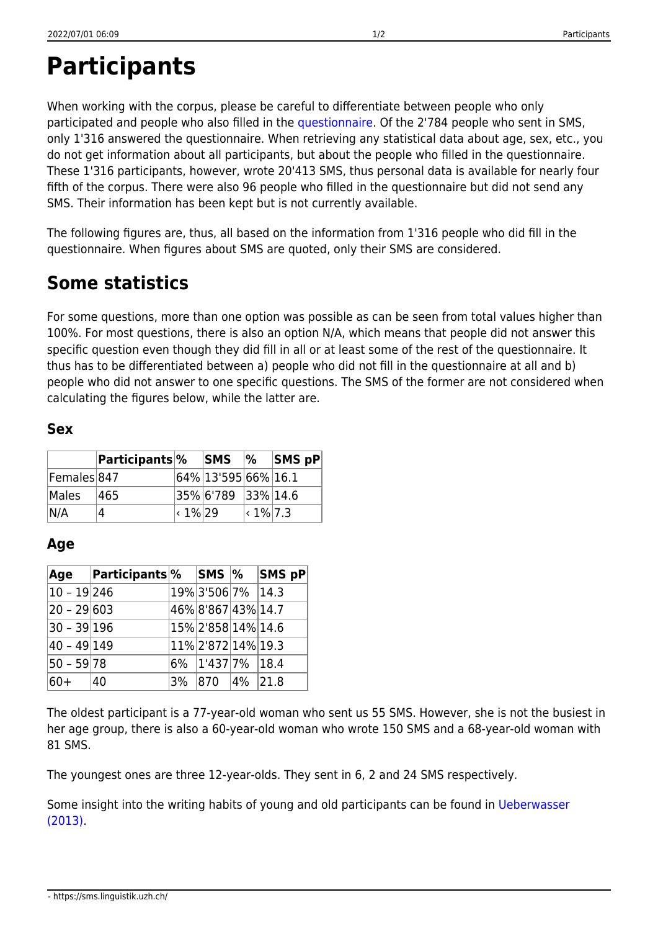## **Participants**

When working with the corpus, please be careful to differentiate between people who only participated and people who also filled in the [questionnaire.](https://sms.linguistik.uzh.ch/02_questionnaire) Of the 2'784 people who sent in SMS, only 1'316 answered the questionnaire. When retrieving any statistical data about age, sex, etc., you do not get information about all participants, but about the people who filled in the questionnaire. These 1'316 participants, however, wrote 20'413 SMS, thus personal data is available for nearly four fifth of the corpus. There were also 96 people who filled in the questionnaire but did not send any SMS. Their information has been kept but is not currently available.

The following figures are, thus, all based on the information from 1'316 people who did fill in the questionnaire. When figures about SMS are quoted, only their SMS are considered.

## **Some statistics**

For some questions, more than one option was possible as can be seen from total values higher than 100%. For most questions, there is also an option N/A, which means that people did not answer this specific question even though they did fill in all or at least some of the rest of the questionnaire. It thus has to be differentiated between a) people who did not fill in the questionnaire at all and b) people who did not answer to one specific questions. The SMS of the former are not considered when calculating the figures below, while the latter are.

## **Sex**

|             | <b>Participants</b> % |               | <b>SMS</b>          | $\frac{9}{6}$    | $ SMS$ pP |
|-------------|-----------------------|---------------|---------------------|------------------|-----------|
| Females 847 |                       |               | 64% 13'595 66% 16.1 |                  |           |
| Males       | 465                   |               | 35% 6'789 33% 14.6  |                  |           |
| N/A         |                       | $\cdot$ 1% 29 |                     | $\vert$ < 1% 7.3 |           |

## **Age**

|               | Age Participants <sup>%</sup> | SMS  %            |             | <b>SMS pP</b> |
|---------------|-------------------------------|-------------------|-------------|---------------|
| $10 - 19 246$ |                               | 19% 3'506 7% 14.3 |             |               |
| $20 - 29 603$ |                               | 46%8'867 43% 14.7 |             |               |
| $30 - 39 196$ |                               | 15%2'858 14% 14.6 |             |               |
| $40 - 49 149$ |                               | 11%2'872 14% 19.3 |             |               |
| $50 - 59$ 78  |                               | 6% 1'437 7% 18.4  |             |               |
| $60+$         | 40                            | 3% 870            | $ 4\% 21.8$ |               |

The oldest participant is a 77-year-old woman who sent us 55 SMS. However, she is not the busiest in her age group, there is also a 60-year-old woman who wrote 150 SMS and a 68-year-old woman with 81 SMS.

The youngest ones are three 12-year-olds. They sent in 6, 2 and 24 SMS respectively.

Some insight into the writing habits of young and old participants can be found in [Ueberwasser](https://ueberwasser.eu/UeFiles/uni/Tagungen/2012Koeln/ueberwasser.pdf) [\(2013\)](https://ueberwasser.eu/UeFiles/uni/Tagungen/2012Koeln/ueberwasser.pdf).